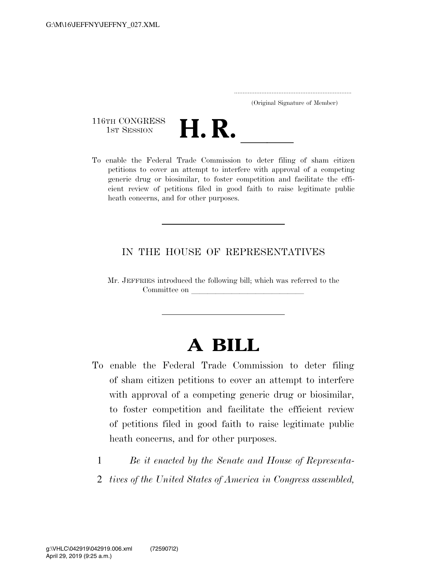..................................................................... (Original Signature of Member)

116TH CONGRESS<br>1st Session



116TH CONGRESS<br>
1st SESSION<br>
To enable the Federal Trade Commission to deter filing of sham citizen petitions to cover an attempt to interfere with approval of a competing generic drug or biosimilar, to foster competition and facilitate the efficient review of petitions filed in good faith to raise legitimate public heath concerns, and for other purposes.

### IN THE HOUSE OF REPRESENTATIVES

Mr. JEFFRIES introduced the following bill; which was referred to the Committee on

# **A BILL**

- To enable the Federal Trade Commission to deter filing of sham citizen petitions to cover an attempt to interfere with approval of a competing generic drug or biosimilar, to foster competition and facilitate the efficient review of petitions filed in good faith to raise legitimate public heath concerns, and for other purposes.
	- 1 *Be it enacted by the Senate and House of Representa-*
	- 2 *tives of the United States of America in Congress assembled,*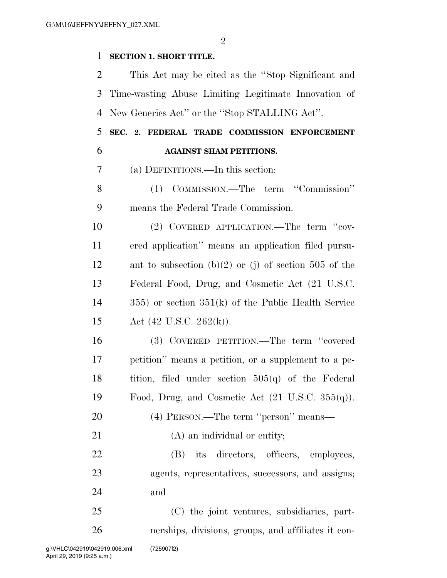$\mathfrak{D}$ 

#### **SECTION 1. SHORT TITLE.**

 This Act may be cited as the ''Stop Significant and Time-wasting Abuse Limiting Legitimate Innovation of New Generics Act'' or the ''Stop STALLING Act''.

## **SEC. 2. FEDERAL TRADE COMMISSION ENFORCEMENT AGAINST SHAM PETITIONS.**

(a) DEFINITIONS.—In this section:

 (1) COMMISSION.—The term ''Commission'' means the Federal Trade Commission.

 (2) COVERED APPLICATION.—The term ''cov- ered application'' means an application filed pursu- ant to subsection (b)(2) or (j) of section 505 of the Federal Food, Drug, and Cosmetic Act (21 U.S.C. 355) or section 351(k) of the Public Health Service Act (42 U.S.C. 262(k)).

 (3) COVERED PETITION.—The term ''covered petition'' means a petition, or a supplement to a pe- tition, filed under section 505(q) of the Federal 19 Food, Drug, and Cosmetic Act  $(21 \text{ U.S.C. } 355(q))$ .

(4) PERSON.—The term ''person'' means—

21 (A) an individual or entity;

 (B) its directors, officers, employees, agents, representatives, successors, and assigns; and

 (C) the joint ventures, subsidiaries, part-nerships, divisions, groups, and affiliates it con-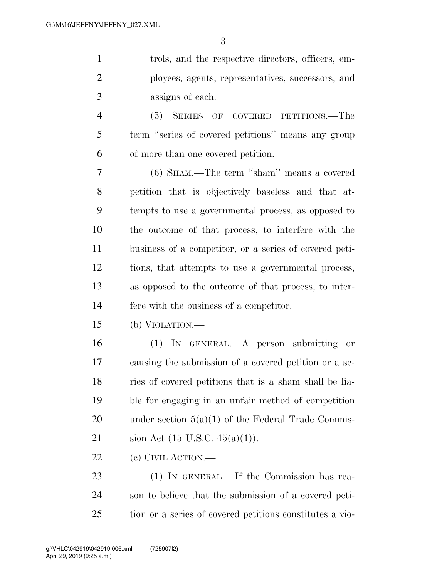trols, and the respective directors, officers, em- ployees, agents, representatives, successors, and assigns of each.

 (5) SERIES OF COVERED PETITIONS.—The term ''series of covered petitions'' means any group of more than one covered petition.

 (6) SHAM.—The term ''sham'' means a covered petition that is objectively baseless and that at- tempts to use a governmental process, as opposed to the outcome of that process, to interfere with the business of a competitor, or a series of covered peti- tions, that attempts to use a governmental process, as opposed to the outcome of that process, to inter-fere with the business of a competitor.

(b) VIOLATION.—

 (1) IN GENERAL.—A person submitting or causing the submission of a covered petition or a se- ries of covered petitions that is a sham shall be lia- ble for engaging in an unfair method of competition 20 under section  $5(a)(1)$  of the Federal Trade Commis-sion Act (15 U.S.C. 45(a)(1)).

(c) CIVIL ACTION.—

 (1) IN GENERAL.—If the Commission has rea- son to believe that the submission of a covered peti-tion or a series of covered petitions constitutes a vio-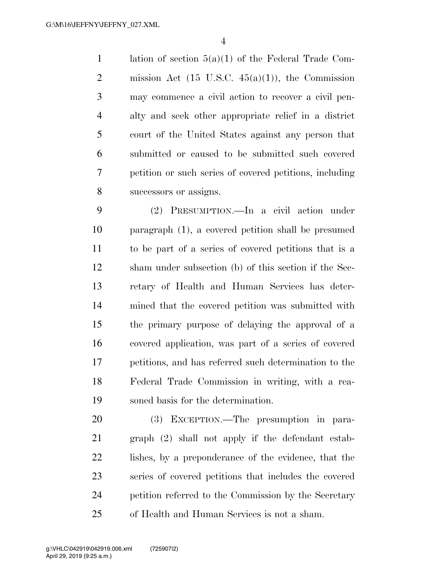lation of section 5(a)(1) of the Federal Trade Com-2 mission Act  $(15 \text{ U.S.C. } 45(a)(1))$ , the Commission may commence a civil action to recover a civil pen- alty and seek other appropriate relief in a district court of the United States against any person that submitted or caused to be submitted such covered petition or such series of covered petitions, including successors or assigns.

 (2) PRESUMPTION.—In a civil action under paragraph (1), a covered petition shall be presumed to be part of a series of covered petitions that is a sham under subsection (b) of this section if the Sec- retary of Health and Human Services has deter- mined that the covered petition was submitted with the primary purpose of delaying the approval of a covered application, was part of a series of covered petitions, and has referred such determination to the Federal Trade Commission in writing, with a rea-soned basis for the determination.

 (3) EXCEPTION.—The presumption in para- graph (2) shall not apply if the defendant estab- lishes, by a preponderance of the evidence, that the series of covered petitions that includes the covered petition referred to the Commission by the Secretary of Health and Human Services is not a sham.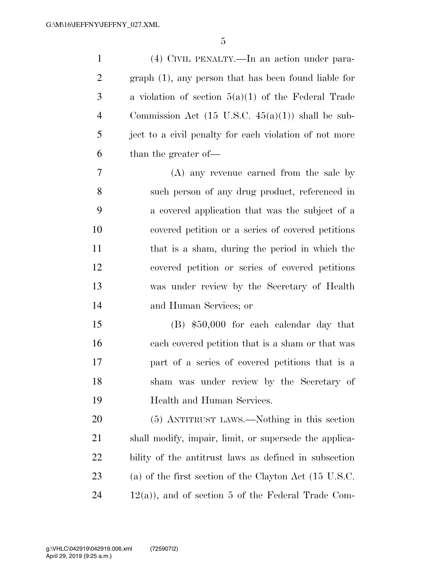(4) CIVIL PENALTY.—In an action under para- graph (1), any person that has been found liable for a violation of section 5(a)(1) of the Federal Trade 4 Commission Act  $(15 \text{ U.S.C. } 45(a)(1))$  shall be sub-5 ject to a civil penalty for each violation of not more than the greater of—

 (A) any revenue earned from the sale by such person of any drug product, referenced in a covered application that was the subject of a covered petition or a series of covered petitions that is a sham, during the period in which the covered petition or series of covered petitions was under review by the Secretary of Health and Human Services; or

 (B) \$50,000 for each calendar day that each covered petition that is a sham or that was part of a series of covered petitions that is a sham was under review by the Secretary of Health and Human Services.

 (5) ANTITRUST LAWS.—Nothing in this section shall modify, impair, limit, or supersede the applica- bility of the antitrust laws as defined in subsection (a) of the first section of the Clayton Act (15 U.S.C. 12(a)), and of section 5 of the Federal Trade Com-